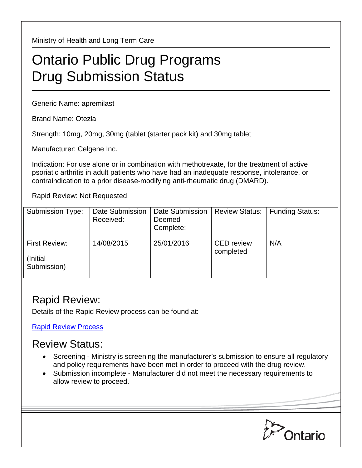Ministry of Health and Long Term Care

## Ontario Public Drug Programs Drug Submission Status

Generic Name: apremilast

Brand Name: Otezla

Strength: 10mg, 20mg, 30mg (tablet (starter pack kit) and 30mg tablet

Manufacturer: Celgene Inc.

Indication: For use alone or in combination with methotrexate, for the treatment of active psoriatic arthritis in adult patients who have had an inadequate response, intolerance, or contraindication to a prior disease-modifying anti-rheumatic drug (DMARD).

Rapid Review: Not Requested

| <b>Submission Type:</b>                         | Date Submission<br>Received: | Date Submission<br>Deemed<br>Complete: | <b>Review Status:</b>          | <b>Funding Status:</b> |
|-------------------------------------------------|------------------------------|----------------------------------------|--------------------------------|------------------------|
| <b>First Review:</b><br>(Initial<br>Submission) | 14/08/2015                   | 25/01/2016                             | <b>CED</b> review<br>completed | N/A                    |

## Rapid Review:

Details of the Rapid Review process can be found at:

[Rapid Review Process](http://www.health.gov.on.ca/en/pro/programs/drugs/drug_submissions/rapid_review_process.aspx)

## Review Status:

- Screening Ministry is screening the manufacturer's submission to ensure all regulatory and policy requirements have been met in order to proceed with the drug review.
- Submission incomplete Manufacturer did not meet the necessary requirements to allow review to proceed.